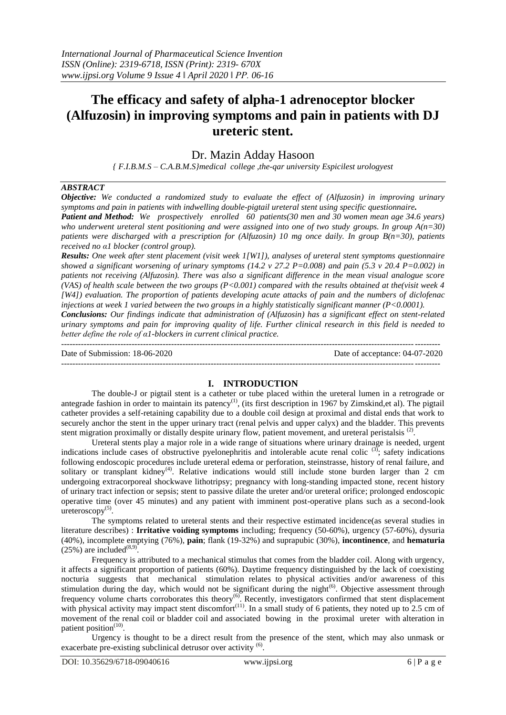# **The efficacy and safety of alpha-1 adrenoceptor blocker (Alfuzosin) in improving symptoms and pain in patients with DJ ureteric stent.**

# Dr. Mazin Adday Hasoon

*{ F.I.B.M.S – C.A.B.M.S}medical college ,the-qar university Espicilest urologyest*

### *ABSTRACT*

*Objective: We conducted a randomized study to evaluate the effect of (Alfuzosin) in improving urinary symptoms and pain in patients with indwelling double-pigtail ureteral stent using specific questionnaire. Patient and Method: We prospectively enrolled 60 patients(30 men and 30 women mean age 34.6 years) who underwent ureteral stent positioning and were assigned into one of two study groups. In group A(n=30) patients were discharged with a prescription for (Alfuzosin) 10 mg once daily. In group B(n=30), patients* 

*received no α1 blocker (control group). Results: One week after stent placement (visit week 1[W1]), analyses of ureteral stent symptoms questionnaire showed a significant worsening of urinary symptoms (14.2 v 27.2 P=0.008) and pain (5.3 v 20.4 P=0.002) in patients not receiving (Alfuzosin). There was also a significant difference in the mean visual analogue score (VAS) of health scale between the two groups (P<0.001) compared with the results obtained at the(visit week 4 [W4]) evaluation. The proportion of patients developing acute attacks of pain and the numbers of diclofenac injections at week 1 varied between the two groups in a highly statistically significant manner (P<0.0001).* 

*Conclusions: Our findings indicate that administration of (Alfuzosin) has a significant effect on stent-related urinary symptoms and pain for improving quality of life. Further clinical research in this field is needed to better define the role of α1-blockers in current clinical practice.*

-------------------------------------------------------------------------------------------------------------------------------------- Date of Submission: 18-06-2020 Date of acceptance: 04-07-2020 --------------------------------------------------------------------------------------------------------------------------------------

### **I. INTRODUCTION**

The double-J or pigtail stent is a catheter or tube placed within the ureteral lumen in a retrograde or antegrade fashion in order to maintain its patency<sup>(1)</sup>, (its first description in 1967 by Zimskind,et al). The pigtail catheter provides a self-retaining capability due to a double coil design at proximal and distal ends that work to securely anchor the stent in the upper urinary tract (renal pelvis and upper calyx) and the bladder. This prevents stent migration proximally or distally despite urinary flow, patient movement, and ureteral peristalsis<sup>(2)</sup>.

Ureteral stents play a major role in a wide range of situations where urinary drainage is needed, urgent indications include cases of obstructive pyelonephritis and intolerable acute renal colic  $(3)$ ; safety indications following endoscopic procedures include ureteral edema or perforation, steinstrasse, history of renal failure, and solitary or transplant kidney<sup>(4)</sup>. Relative indications would still include stone burden larger than 2 cm undergoing extracorporeal shockwave lithotripsy; pregnancy with long-standing impacted stone, recent history of urinary tract infection or sepsis; stent to passive dilate the ureter and/or ureteral orifice; prolonged endoscopic operative time (over 45 minutes) and any patient with imminent post-operative plans such as a second-look  $\text{ureteroscopy}^{(5)}$ .

The symptoms related to ureteral stents and their respective estimated incidence(as several studies in literature describes) : **Irritative voiding symptoms** including; frequency (50-60%), urgency (57-60%), dysuria (40%), incomplete emptying (76%), **pain**; flank (19-32%) and suprapubic (30%), **incontinence**, and **hematuria**  $(25%)$  are included<sup>(8,9)</sup>.

Frequency is attributed to a mechanical stimulus that comes from the bladder coil. Along with urgency, it affects a significant proportion of patients (60%). Daytime frequency distinguished by the lack of coexisting nocturia suggests that mechanical stimulation relates to physical activities and/or awareness of this stimulation during the day, which would not be significant during the night $^{(6)}$ . Objective assessment through frequency volume charts corroborates this theory<sup>(6)</sup>. Recently, investigators confirmed that stent displacement with physical activity may impact stent discomfort<sup>(11)</sup>. In a small study of 6 patients, they noted up to 2.5 cm of movement of the renal coil or bladder coil and associated bowing in the proximal ureter with alteration in patient position<sup>(10)</sup>.

Urgency is thought to be a direct result from the presence of the stent, which may also unmask or exacerbate pre-existing subclinical detrusor over activity<sup>(6)</sup>.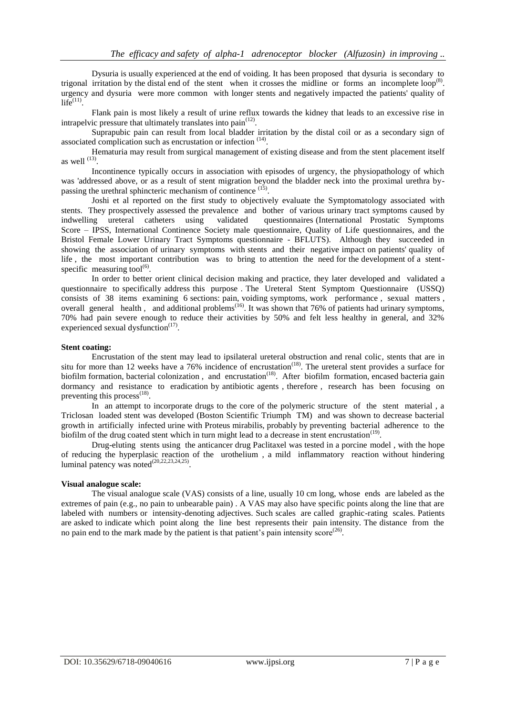Dysuria is usually experienced at the end of voiding. It has been proposed that dysuria is secondary to trigonal irritation by the distal end of the stent when it crosses the midline or forms an incomplete loop<sup>(8)</sup>. urgency and dysuria were more common with longer stents and negatively impacted the patients' quality of  $\overline{\text{life}}^{(11)}$ .

Flank pain is most likely a result of urine reflux towards the kidney that leads to an excessive rise in intrapelvic pressure that ultimately translates into  $\text{pain}^{(12)}$ .

Suprapubic pain can result from local bladder irritation by the distal coil or as a secondary sign of associated complication such as encrustation or infection <sup>(14)</sup>.

Hematuria may result from surgical management of existing disease and from the stent placement itself as well  $^{(13)}$ .

Incontinence typically occurs in association with episodes of urgency, the physiopathology of which was 'addressed above, or as a result of stent migration beyond the bladder neck into the proximal urethra bypassing the urethral sphincteric mechanism of continence  $(15)$ .

Joshi et al reported on the first study to objectively evaluate the Symptomatology associated with stents. They prospectively assessed the prevalence and bother of various urinary tract symptoms caused by indwelling ureteral catheters using validated questionnaires (International Prostatic Symptoms validated questionnaires (International Prostatic Symptoms Score – IPSS, International Continence Society male questionnaire, Quality of Life questionnaires, and the Bristol Female Lower Urinary Tract Symptoms questionnaire - BFLUTS). Although they succeeded in showing the association of urinary symptoms with stents and their negative impact on patients' quality of life , the most important contribution was to bring to attention the need for the development of a stentspecific measuring tool $^{(6)}$ .

In order to better orient clinical decision making and practice, they later developed and validated a questionnaire to specifically address this purpose . The Ureteral Stent Symptom Questionnaire (USSQ) consists of 38 items examining 6 sections: pain, voiding symptoms, work performance , sexual matters , overall general health, and additional problems<sup> $(16)$ </sup>. It was shown that 76% of patients had urinary symptoms, 70% had pain severe enough to reduce their activities by 50% and felt less healthy in general, and 32% experienced sexual dysfunction $(17)$ .

### **Stent coating:**

Encrustation of the stent may lead to ipsilateral ureteral obstruction and renal colic, stents that are in situ for more than 12 weeks have a  $76\%$  incidence of encrustation<sup>(18)</sup>. The ureteral stent provides a surface for biofilm formation, bacterial colonization, and encrustation<sup>(18)</sup>. After biofilm formation, encased bacteria gain dormancy and resistance to eradication by antibiotic agents , therefore , research has been focusing on preventing this process<sup>(18)</sup>.

In an attempt to incorporate drugs to the core of the polymeric structure of the stent material, a Triclosan loaded stent was developed (Boston Scientific Triumph TM) and was shown to decrease bacterial growth in artificially infected urine with Proteus mirabilis, probably by preventing bacterial adherence to the biofilm of the drug coated stent which in turn might lead to a decrease in stent encrustation<sup> $(19)$ </sup>.

Drug-eluting stents using the anticancer drug Paclitaxel was tested in a porcine model , with the hope of reducing the hyperplasic reaction of the urothelium , a mild inflammatory reaction without hindering luminal patency was noted<sup>(20,22,23,24,25)</sup>.

### **Visual analogue scale:**

The visual analogue scale (VAS) consists of a line, usually 10 cm long, whose ends are labeled as the extremes of pain (e.g., no pain to unbearable pain) . A VAS may also have specific points along the line that are labeled with numbers or intensity-denoting adjectives. Such scales are called graphic-rating scales. Patients are asked to indicate which point along the line best represents their pain intensity. The distance from the no pain end to the mark made by the patient is that patient's pain intensity  $score^{(26)}$ .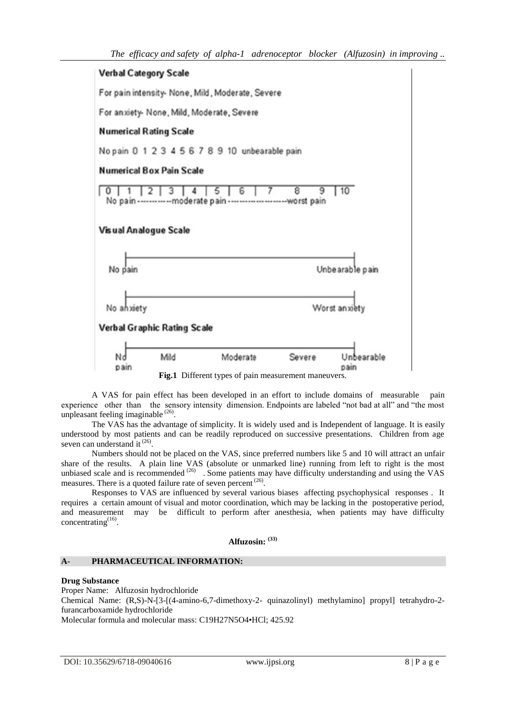

A VAS for pain effect has been developed in an effort to include domains of measurable pain experience other than the sensory intensity dimension. Endpoints are labeled "not bad at all" and "the most unpleasant feeling imaginable<sup>(26)</sup>.

The VAS has the advantage of simplicity. It is widely used and is Independent of language. It is easily understood by most patients and can be readily reproduced on successive presentations. Children from age seven can understand it<sup>(26)</sup>.

Numbers should not be placed on the VAS, since preferred numbers like 5 and 10 will attract an unfair share of the results. A plain line VAS (absolute or unmarked line) running from left to right is the most unbiased scale and is recommended  $^{(26)}$  . Some patients may have difficulty understanding and using the VAS measures. There is a quoted failure rate of seven percent  $(26)$ .

Responses to VAS are influenced by several various biases affecting psychophysical responses . It requires a certain amount of visual and motor coordination, which may be lacking in the postoperative period, and measurement may be difficult to perform after anesthesia, when patients may have difficulty concentrating $^{(16)}$ .

**Alfuzosin: (33)**

## **A- PHARMACEUTICAL INFORMATION:**

# **Drug Substance**

Proper Name: Alfuzosin hydrochloride

Chemical Name: (R,S)-N-[3-[(4-amino-6,7-dimethoxy-2- quinazolinyl) methylamino] propyl] tetrahydro-2 furancarboxamide hydrochloride

Molecular formula and molecular mass: C19H27N5O4•HCl; 425.92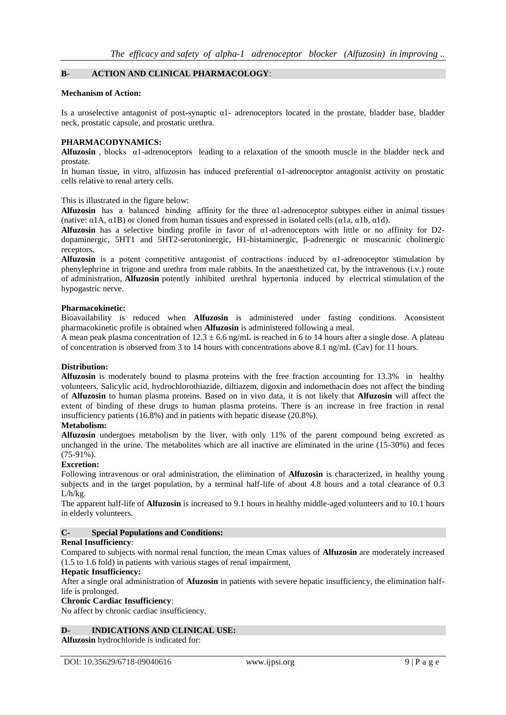### **B- ACTION AND CLINICAL PHARMACOLOGY**:

#### **Mechanism of Action:**

Is a uroselective antagonist of post-synaptic α1- adrenoceptors located in the prostate, bladder base, bladder neck, prostatic capsule, and prostatic urethra.

#### **PHARMACODYNAMICS:**

**Alfuzosin**, blocks  $\alpha$ 1-adrenoceptors leading to a relaxation of the smooth muscle in the bladder neck and prostate.

In human tissue, in vitro, alfuzosin has induced preferential α1-adrenoceptor antagonist activity on prostatic cells relative to renal artery cells.

This is illustrated in the figure below:

**Alfuzosin** has a balanced binding affinity for the three  $\alpha$ 1-adrenoceptor subtypes either in animal tissues (native:  $\alpha$ 1A,  $\alpha$ 1B) or cloned from human tissues and expressed in isolated cells ( $\alpha$ 1a,  $\alpha$ 1b,  $\alpha$ 1d).

**Alfuzosin** has a selective binding profile in favor of α1-adrenoceptors with little or no affinity for D2 dopaminergic, 5HT1 and 5HT2-serotoninergic, H1-histaminergic, β-adrenergic or muscarinic cholinergic receptors.

**Alfuzosin** is a potent competitive antagonist of contractions induced by α1-adrenoceptor stimulation by phenylephrine in trigone and urethra from male rabbits. In the anaesthetized cat, by the intravenous (i.v.) route of administration, **Alfuzosin** potently inhibited urethral hypertonia induced by electrical stimulation of the hypogastric nerve.

#### **Pharmacokinetic:**

Bioavailability is reduced when **Alfuzosin** is administered under fasting conditions. Aconsistent pharmacokinetic profile is obtained when **Alfuzosin** is administered following a meal.

A mean peak plasma concentration of  $12.3 \pm 6.6$  ng/mL is reached in 6 to 14 hours after a single dose. A plateau of concentration is observed from 3 to 14 hours with concentrations above 8.1 ng/mL (Cav) for 11 hours.

### **Distribution:**

**Alfuzosin** is moderately bound to plasma proteins with the free fraction accounting for 13.3% in healthy volunteers. Salicylic acid, hydrochlorothiazide, diltiazem, digoxin and indomethacin does not affect the binding of **Alfuzosin** to human plasma proteins. Based on in vivo data, it is not likely that **Alfuzosin** will affect the extent of binding of these drugs to human plasma proteins. There is an increase in free fraction in renal insufficiency patients (16.8%) and in patients with hepatic disease (20.8%).

## **Metabolism:**

**Alfuzosin** undergoes metabolism by the liver, with only 11% of the parent compound being excreted as unchanged in the urine. The metabolites which are all inactive are eliminated in the urine (15-30%) and feces  $(75-91\%)$ .

### **Excretion:**

Following intravenous or oral administration, the elimination of **Alfuzosin** is characterized, in healthy young subjects and in the target population, by a terminal half-life of about 4.8 hours and a total clearance of 0.3 L/h/kg.

The apparent half-life of **Alfuzosin** is increased to 9.1 hours in healthy middle-aged volunteers and to 10.1 hours in elderly volunteers.

### **C- Special Populations and Conditions:**

### **Renal Insufficiency**:

Compared to subjects with normal renal function, the mean Cmax values of **Alfuzosin** are moderately increased (1.5 to 1.6 fold) in patients with various stages of renal impairment,

### **Hepatic Insufficiency:**

After a single oral administration of **Afuzosin** in patients with severe hepatic insufficiency, the elimination halflife is prolonged.

### **Chronic Cardiac Insufficiency**:

No affect by chronic cardiac insufficiency.

### **D- INDICATIONS AND CLINICAL USE:**

**Alfuzosin** hydrochloride is indicated for: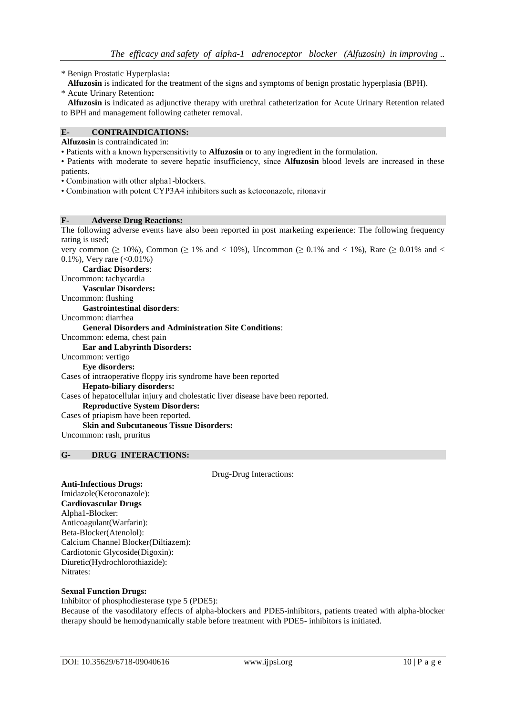\* Benign Prostatic Hyperplasia**:**

- **Alfuzosin** is indicated for the treatment of the signs and symptoms of benign prostatic hyperplasia (BPH).
- \* Acute Urinary Retention**:**

 **Alfuzosin** is indicated as adjunctive therapy with urethral catheterization for Acute Urinary Retention related to BPH and management following catheter removal.

## **E- CONTRAINDICATIONS:**

**Alfuzosin** is contraindicated in:

• Patients with a known hypersensitivity to **Alfuzosin** or to any ingredient in the formulation.

• Patients with moderate to severe hepatic insufficiency, since **Alfuzosin** blood levels are increased in these patients.

• Combination with other alpha1-blockers.

• Combination with potent CYP3A4 inhibitors such as ketoconazole, ritonavir

#### **F- Adverse Drug Reactions:**

The following adverse events have also been reported in post marketing experience: The following frequency rating is used;

very common ( $\geq 10\%$ ), Common ( $\geq 1\%$  and  $\lt 10\%$ ), Uncommon ( $\geq 0.1\%$  and  $\lt 1\%$ ), Rare ( $\geq 0.01\%$  and  $\lt$ 0.1%), Very rare  $(<0.01\%)$ 

 **Cardiac Disorders**:

Uncommon: tachycardia

 **Vascular Disorders:**

Uncommon: flushing

 **Gastrointestinal disorders**:

Uncommon: diarrhea

 **General Disorders and Administration Site Conditions**:

Uncommon: edema, chest pain

#### **Ear and Labyrinth Disorders:**

Uncommon: vertigo

 **Eye disorders:**

Cases of intraoperative floppy iris syndrome have been reported

 **Hepato-biliary disorders:**

Cases of hepatocellular injury and cholestatic liver disease have been reported.

 **Reproductive System Disorders:**

Cases of priapism have been reported.

#### **Skin and Subcutaneous Tissue Disorders:**

Uncommon: rash, pruritus

## **G- DRUG INTERACTIONS:**

Drug-Drug Interactions:

#### **Anti-Infectious Drugs:**

Imidazole(Ketoconazole): **Cardiovascular Drugs** Alpha1-Blocker: Anticoagulant(Warfarin): Beta-Blocker(Atenolol): Calcium Channel Blocker(Diltiazem): Cardiotonic Glycoside(Digoxin): Diuretic(Hydrochlorothiazide): Nitrates:

# **Sexual Function Drugs:**

Inhibitor of phosphodiesterase type 5 (PDE5): Because of the vasodilatory effects of alpha-blockers and PDE5-inhibitors, patients treated with alpha-blocker therapy should be hemodynamically stable before treatment with PDE5- inhibitors is initiated.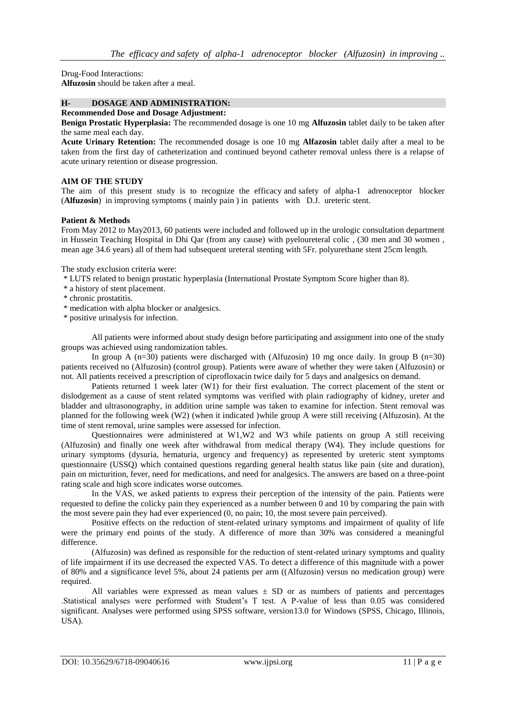Drug-Food Interactions: **Alfuzosin** should be taken after a meal.

## **H- DOSAGE AND ADMINISTRATION:**

# **Recommended Dose and Dosage Adjustment:**

**Benign Prostatic Hyperplasia:** The recommended dosage is one 10 mg **Alfuzosin** tablet daily to be taken after the same meal each day.

**Acute Urinary Retention:** The recommended dosage is one 10 mg **Alfazosin** tablet daily after a meal to be taken from the first day of catheterization and continued beyond catheter removal unless there is a relapse of acute urinary retention or disease progression.

### **AIM OF THE STUDY**

The aim of this present study is to recognize the efficacy and safety of alpha-1 adrenoceptor blocker (**Alfuzosin**) in improving symptoms ( mainly pain ) in patients with D.J. ureteric stent.

### **Patient & Methods**

From May 2012 to May2013, 60 patients were included and followed up in the urologic consultation department in Hussein Teaching Hospital in Dhi Qar (from any cause) with pyeloureteral colic , (30 men and 30 women , mean age 34.6 years) all of them had subsequent ureteral stenting with 5Fr. polyurethane stent 25cm length.

The study exclusion criteria were:

\* LUTS related to benign prostatic hyperplasia (International Prostate Symptom Score higher than 8).

- \* a history of stent placement.
- \* chronic prostatitis.

\* medication with alpha blocker or analgesics.

\* positive urinalysis for infection.

All patients were informed about study design before participating and assignment into one of the study groups was achieved using randomization tables.

In group A ( $n=30$ ) patients were discharged with (Alfuzosin) 10 mg once daily. In group B ( $n=30$ ) patients received no (Alfuzosin) (control group). Patients were aware of whether they were taken (Alfuzosin) or not. All patients received a prescription of ciprofloxacin twice daily for 5 days and analgesics on demand.

Patients returned 1 week later (W1) for their first evaluation. The correct placement of the stent or dislodgement as a cause of stent related symptoms was verified with plain radiography of kidney, ureter and bladder and ultrasonography, in addition urine sample was taken to examine for infection. Stent removal was planned for the following week (W2) (when it indicated )while group A were still receiving (Alfuzosin). At the time of stent removal, urine samples were assessed for infection.

Questionnaires were administered at W1,W2 and W3 while patients on group A still receiving (Alfuzosin) and finally one week after withdrawal from medical therapy (W4). They include questions for urinary symptoms (dysuria, hematuria, urgency and frequency) as represented by ureteric stent symptoms questionnaire (USSQ) which contained questions regarding general health status like pain (site and duration), pain on micturition, fever, need for medications, and need for analgesics. The answers are based on a three-point rating scale and high score indicates worse outcomes.

In the VAS, we asked patients to express their perception of the intensity of the pain. Patients were requested to define the colicky pain they experienced as a number between 0 and 10 by comparing the pain with the most severe pain they had ever experienced (0, no pain; 10, the most severe pain perceived).

Positive effects on the reduction of stent-related urinary symptoms and impairment of quality of life were the primary end points of the study. A difference of more than 30% was considered a meaningful difference.

(Alfuzosin) was defined as responsible for the reduction of stent-related urinary symptoms and quality of life impairment if its use decreased the expected VAS. To detect a difference of this magnitude with a power of 80% and a significance level 5%, about 24 patients per arm ((Alfuzosin) versus no medication group) were required.

All variables were expressed as mean values  $\pm$  SD or as numbers of patients and percentages .Statistical analyses were performed with Student's T test. A P-value of less than 0.05 was considered significant. Analyses were performed using SPSS software, version13.0 for Windows (SPSS, Chicago, Illinois, USA).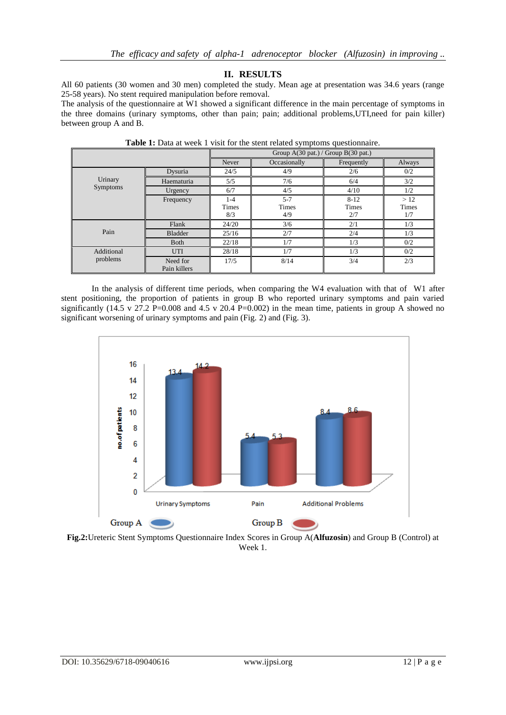# **II. RESULTS**

All 60 patients (30 women and 30 men) completed the study. Mean age at presentation was 34.6 years (range 25-58 years). No stent required manipulation before removal.

The analysis of the questionnaire at W1 showed a significant difference in the main percentage of symptoms in the three domains (urinary symptoms, other than pain; pain; additional problems,UTI,need for pain killer) between group A and B.

|                        |                          | Group $A(30 \text{ pat.})$ / Group $B(30 \text{ pat.})$ |                                |                          |                            |
|------------------------|--------------------------|---------------------------------------------------------|--------------------------------|--------------------------|----------------------------|
|                        |                          | Never                                                   | Occasionally                   | Frequently               | Always                     |
| Urinary<br>Symptoms    | Dysuria                  | 24/5                                                    | 4/9                            | 2/6                      | 0/2                        |
|                        | Haematuria               | 5/5                                                     | 7/6                            | 6/4                      | 3/2                        |
|                        | Urgency                  | 6/7                                                     | 4/5                            | 4/10                     | 1/2                        |
|                        | Frequency                | $1 - 4$<br><b>Times</b><br>8/3                          | $5 - 7$<br><b>Times</b><br>4/9 | $8 - 12$<br>Times<br>2/7 | >12<br><b>Times</b><br>1/7 |
| Pain                   | Flank                    | 24/20                                                   | 3/6                            | 2/1                      | 1/3                        |
|                        | <b>Bladder</b>           | 25/16                                                   | 2/7                            | 2/4                      | 1/3                        |
|                        | <b>B</b> oth             | 22/18                                                   | 1/7                            | 1/3                      | 0/2                        |
| Additional<br>problems | <b>UTI</b>               | 28/18                                                   | 1/7                            | 1/3                      | 0/2                        |
|                        | Need for<br>Pain killers | 17/5                                                    | 8/14                           | 3/4                      | 2/3                        |

**Table 1:** Data at week 1 visit for the stent related symptoms questionnaire.

In the analysis of different time periods, when comparing the W4 evaluation with that of W1 after stent positioning, the proportion of patients in group B who reported urinary symptoms and pain varied significantly (14.5 v 27.2 P=0.008 and 4.5 v 20.4 P=0.002) in the mean time, patients in group A showed no significant worsening of urinary symptoms and pain (Fig. 2) and (Fig. 3).



**Fig.2:**Ureteric Stent Symptoms Questionnaire Index Scores in Group A(**Alfuzosin**) and Group B (Control) at Week 1.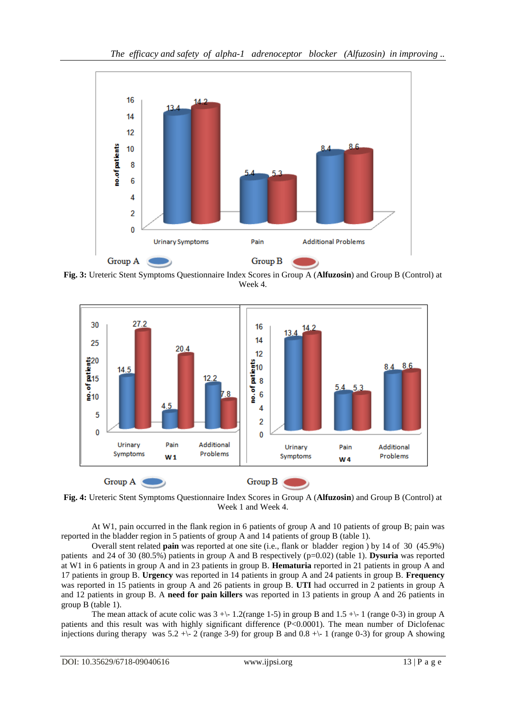

**Fig. 3:** Ureteric Stent Symptoms Questionnaire Index Scores in Group A (**Alfuzosin**) and Group B (Control) at Week 4.



**Fig. 4:** Ureteric Stent Symptoms Questionnaire Index Scores in Group A (**Alfuzosin**) and Group B (Control) at Week 1 and Week 4.

At W1, pain occurred in the flank region in 6 patients of group A and 10 patients of group B; pain was reported in the bladder region in 5 patients of group A and 14 patients of group B (table 1).

Overall stent related **pain** was reported at one site (i.e., flank or bladder region ) by 14 of 30 (45.9%) patients and 24 of 30 (80.5%) patients in group A and B respectively (p=0.02) (table 1). **Dysuria** was reported at W1 in 6 patients in group A and in 23 patients in group B. **Hematuria** reported in 21 patients in group A and 17 patients in group B. **Urgency** was reported in 14 patients in group A and 24 patients in group B. **Frequency** was reported in 15 patients in group A and 26 patients in group B. **UTI** had occurred in 2 patients in group A and 12 patients in group B. A **need for pain killers** was reported in 13 patients in group A and 26 patients in group B (table 1).

The mean attack of acute colic was  $3 + \{-1.2$ (range 1-5) in group B and  $1.5 + \{-1$  (range 0-3) in group A patients and this result was with highly significant difference (P<0.0001). The mean number of Diclofenac injections during therapy was  $5.2 +\{-2 \text{ (range 3-9)} \text{ for group B and } 0.8 +\{-1 \text{ (range 0-3)} \text{ for group A showing } 0.8 +\}$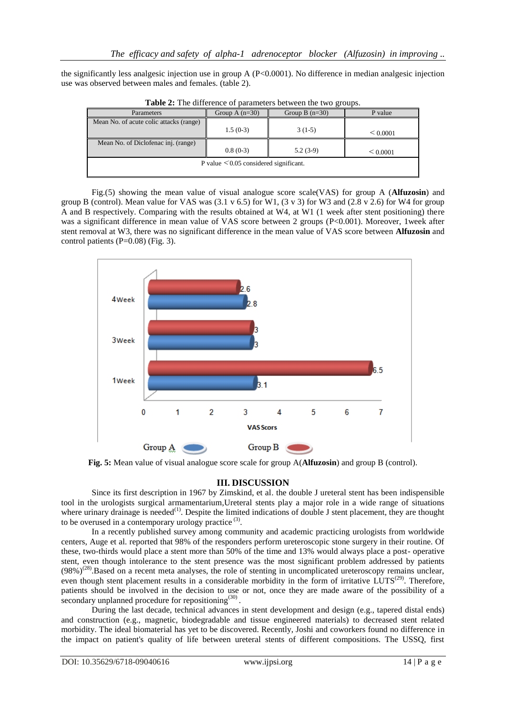the significantly less analgesic injection use in group A (P<0.0001). No difference in median analgesic injection use was observed between males and females. (table 2).

| <b>Parameters</b>                           | Group A $(n=30)$ | Group B $(n=30)$ | P value       |  |  |  |
|---------------------------------------------|------------------|------------------|---------------|--|--|--|
| Mean No. of acute colic attacks (range)     | $1.5(0-3)$       | $3(1-5)$         | $\leq 0.0001$ |  |  |  |
| Mean No. of Diclofenac inj. (range)         |                  |                  |               |  |  |  |
|                                             | $0.8(0-3)$       | $5.2(3-9)$       | $\leq 0.0001$ |  |  |  |
| P value $\leq 0.05$ considered significant. |                  |                  |               |  |  |  |

**Table 2:** The difference of parameters between the two groups.

Fig.(5) showing the mean value of visual analogue score scale(VAS) for group A (**Alfuzosin**) and group B (control). Mean value for VAS was  $(3.1 \text{ v } 6.5)$  for W1,  $(3 \text{ v } 3)$  for W3 and  $(2.8 \text{ v } 2.6)$  for W4 for group A and B respectively. Comparing with the results obtained at W4, at W1 (1 week after stent positioning) there was a significant difference in mean value of VAS score between 2 groups (P<0.001). Moreover, 1week after stent removal at W3, there was no significant difference in the mean value of VAS score between **Alfuzosin** and control patients (P=0.08) (Fig. 3).



**Fig. 5:** Mean value of visual analogue score scale for group A(**Alfuzosin**) and group B (control).

# **III. DISCUSSION**

Since its first description in 1967 by Zimskind, et al. the double J ureteral stent has been indispensible tool in the urologists surgical armamentarium,Ureteral stents play a major role in a wide range of situations where urinary drainage is needed<sup>(1)</sup>. Despite the limited indications of double J stent placement, they are thought to be overused in a contemporary urology practice  $(3)$ .

In a recently published survey among community and academic practicing urologists from worldwide centers, Auge et al. reported that 98% of the responders perform ureteroscopic stone surgery in their routine. Of these, two-thirds would place a stent more than 50% of the time and 13% would always place a post- operative stent, even though intolerance to the stent presence was the most significant problem addressed by patients  $(98\%)^{(28)}$ . Based on a recent meta analyses, the role of stenting in uncomplicated ureteroscopy remains unclear, even though stent placement results in a considerable morbidity in the form of irritative LUTS<sup> $(29)$ </sup>. Therefore, patients should be involved in the decision to use or not, once they are made aware of the possibility of a secondary unplanned procedure for repositioning $(30)$ .

During the last decade, technical advances in stent development and design (e.g., tapered distal ends) and construction (e.g., magnetic, biodegradable and tissue engineered materials) to decreased stent related morbidity. The ideal biomaterial has yet to be discovered. Recently, Joshi and coworkers found no difference in the impact on patient's quality of life between ureteral stents of different compositions. The USSQ, first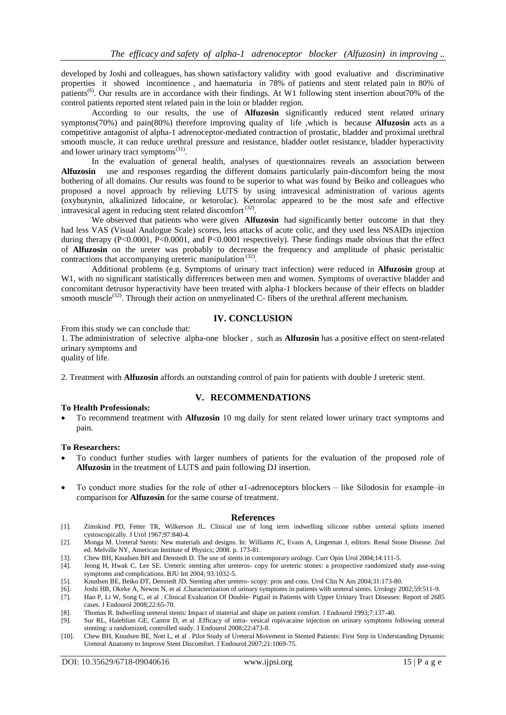developed by Joshi and colleagues, has shown satisfactory validity with good evaluative and discriminative properties it showed incontinence , and haematuria in 78% of patients and stent related pain in 80% of patients(6). Our results are in accordance with their findings. At W1 following stent insertion about70% of the control patients reported stent related pain in the loin or bladder region.

According to our results, the use of **Alfuzosin** significantly reduced stent related urinary symptoms(70%) and pain(80%) therefore improving quality of life ,which is because **Alfuzosin** acts as a competitive antagonist of alpha-1 adrenoceptor-mediated contraction of prostatic, bladder and proximal urethral smooth muscle, it can reduce urethral pressure and resistance, bladder outlet resistance, bladder hyperactivity and lower urinary tract symptoms<sup>(31)</sup>.

In the evaluation of general health, analyses of questionnaires reveals an association between **Alfuzosin** use and responses regarding the different domains particularly pain-discomfort being the most bothering of all domains. Our results was found to be superior to what was found by Beiko and colleagues who proposed a novel approach by relieving LUTS by using intravesical administration of various agents (oxybutynin, alkalinized lidocaine, or ketorolac). Ketorolac appeared to be the most safe and effective intravesical agent in reducing stent related discomfort  $(32)$ .

We observed that patients who were given **Alfuzosin** had significantly better outcome in that they had less VAS (Visual Analogue Scale) scores, less attacks of acute colic, and they used less NSAIDs injection during therapy (P<0.0001, P<0.0001, and P<0.0001 respectively). These findings made obvious that the effect of **Alfuzosin** on the ureter was probably to decrease the frequency and amplitude of phasic peristaltic contractions that accompanying ureteric manipulation<sup>(32)</sup>.

Additional problems (e.g. Symptoms of urinary tract infection) were reduced in **Alfuzosin** group at W<sub>1</sub>, with no significant statistically differences between men and women. Symptoms of overactive bladder and concomitant detrusor hyperactivity have been treated with alpha-1 blockers because of their effects on bladder smooth muscle<sup>(32)</sup>. Through their action on unmyelinated C- fibers of the urethral afferent mechanism.

## **IV. CONCLUSION**

From this study we can conclude that:

1. The administration of selective alpha-one blocker , such as **Alfuzosin** has a positive effect on stent-related urinary symptoms and

quality of life.

2. Treatment with **Alfuzosin** affords an outstanding control of pain for patients with double J ureteric stent.

# **V. RECOMMENDATIONS**

## **To Health Professionals:**

 To recommend treatment with **Alfuzosin** 10 mg daily for stent related lower urinary tract symptoms and pain.

#### **To Researchers:**

- To conduct further studies with larger numbers of patients for the evaluation of the proposed role of **Alfuzosin** in the treatment of LUTS and pain following DJ insertion.
- To conduct more studies for the role of other α1-adrenoceptors blockers like Silodosin for example–in comparison for **Alfuzosin** for the same course of treatment.

#### **References**

- [1]. Zimskind PD, Fetter TR, Wilkerson JL. Clinical use of long term indwelling silicone rubber ureteral splints inserted cystoscopically. J Urol 1967;97:840-4.
- [2]. Monga M. Ureteral Stents: New materials and designs. In: Williams JC, Evans A, Lingeman J, editors. Renal Stone Disease. 2nd ed. Melville NY, American Institute of Physics; 2008. p. 173-81.
- [3]. Chew BH, Knudsen BH and Denstedt D. The use of stents in contemporary urology. Curr Opin Urol 2004;14:111-5.<br>[4]. Jeong H, Hwak C, Lee SE. Ureteric stenting after ureteros-copy for ureteric stones: a prospective rando
- Jeong H, Hwak C, Lee SE. Ureteric stenting after ureteros- copy for ureteric stones: a prospective randomized study asse-ssing symptoms and complications. BJU Int 2004; 93:1032-5.
- [5]. Knudsen BE, Beiko DT, Denstedt JD. Stenting after uretero- scopy: pros and cons. Urol Clin N Am 2004;31:173-80.
	- [6]. Joshi HB, Okeke A, Newns N, et al .Characterization of urinary symptoms in patients with ureteral stents. Urology 2002;59:511-9.
- [7]. Hao P, Li W, Song C, et al . Clinical Evaluation Of Double- Pigtail in Patients with Upper Urinary Tract Diseases: Report of 2685 cases. J Endourol 2008;22:65-70.

[8]. Thomas R. Indwelling ureteral stents: Impact of material and shape on patient comfort. J Endourol 1993;7:137-40.

- [9]. Sur RL, Haleblian GE, Cantor D, et al .Efficacy of intra- vesical ropivacaine injection on urinary symptoms following ureteral stenting: a randomized, controlled study. J Endourol 2008;22:473-8.
- [10]. Chew BH, Knudsen BE, Nott L, et al . Pilot Study of Ureteral Movement in Stented Patients: First Step in Understanding Dynamic Ureteral Anatomy to Improve Stent Discomfort. J Endourol 2007;21:1069-75.